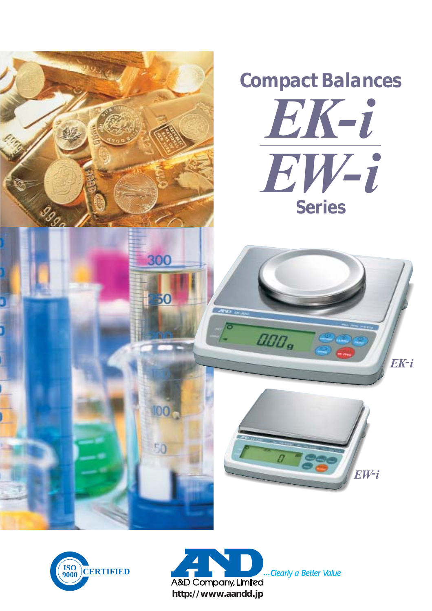





... Clearly a Better Value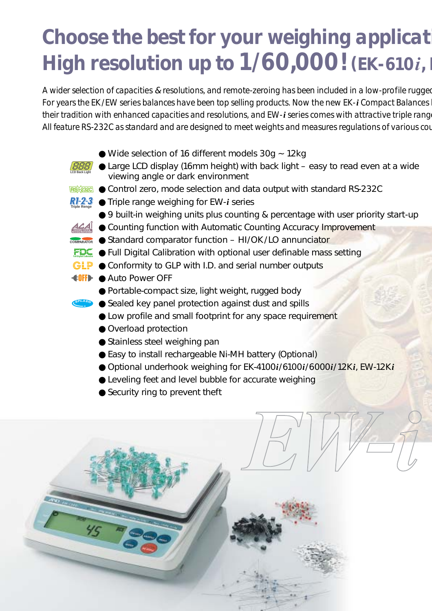# *Choose the best for your weighing applicati High resolution up to*  $1/60,000$ *! (EK-610i, EX-610i, EX-810i, EX-610i, EX-810i, EX-810i,*

*A wider selection of capacities* & *resolutions, and remote-zeroing has been included in a low-profile rugged For years the EK/EW series balances have been top selling products. Now the new EK-i Compact Balances h their tradition with enhanced capacities and resolutions, and EW-i series comes with attractive triple range All feature RS-232C as standard and are designed to meet weights and measures regulations of various cou*

 $\bullet$  Wide selection of 16 different models 30g  $\sim$  12kg ● Large LCD display (16mm height) with back light – easy to read even at a wide viewing angle or dark environment **RECORIGE OP Control zero, mode selection and data output with standard RS-232C** ● Triple range weighing for EW-*i* series **Triple Renge**● 9 built-in weighing units plus counting & percentage with user priority start-up <u>A4</u> ● Counting function with Automatic Counting Accuracy Improvement **COMPARATOR** Standard comparator function – HI/OK/LO annunciator  $FDC$  • Full Digital Calibration with optional user definable mass setting  $GIP$   $\bullet$  Conformity to GLP with I.D. and serial number outputs **OFFICE** Auto Power OFF ● Portable-compact size, light weight, rugged body  $\bullet$  Sealed key panel protection against dust and spills ● Low profile and small footprint for any space requirement ● Overload protection ● Stainless steel weighing pan ● Easy to install rechargeable Ni-MH battery (Optional) ● Optional underhook weighing for EK-4100*i*/6100*i*/6000*i*/12K*i*, EW-12K*i* ● Leveling feet and level bubble for accurate weighing ● Security ring to prevent theft **LCD Back Light**

 $\overline{\frac{4}{5}}$ 

*EW-i*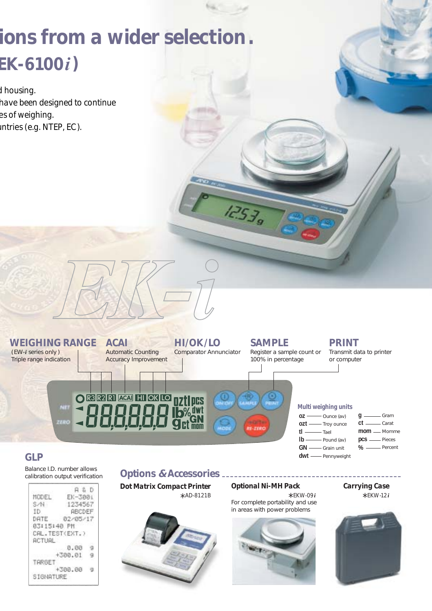# *ions from a wider selection. EK-6100i)*

*d housing. have been designed to continue es of weighing. untries (e.g. NTEP, EC ).*



 $12539$ 

## *GLP*

Balance I.D. number allows calibration output verification

| HODEL                            | A, B, D<br>EK-300i |  |
|----------------------------------|--------------------|--|
| SZN -                            | 1234567            |  |
|                                  |                    |  |
| ID.                              | <b>ABODEF</b>      |  |
| DATE 02/05/17                    |                    |  |
| 03:15:40 PM                      |                    |  |
| CAL. TEST(EXT.)<br><b>ACTUAL</b> |                    |  |
|                                  | 0.00               |  |
|                                  | $+300.01$          |  |
| TARGET                           |                    |  |
|                                  | $+300.00$          |  |
| SIGNATURE                        |                    |  |

### **Options & Accessories .**

*Dot Matrix Compact Printer \* AD-8121B*



#### *Optional Ni-MH Pack*

 *\* EKW-09<sup>i</sup>* For complete portability and use in areas with power problems



#### *Carrying Case \* EKW-12<sup>i</sup>*

**%** Percent

GN - Grain unit **dwt** Pennyweight